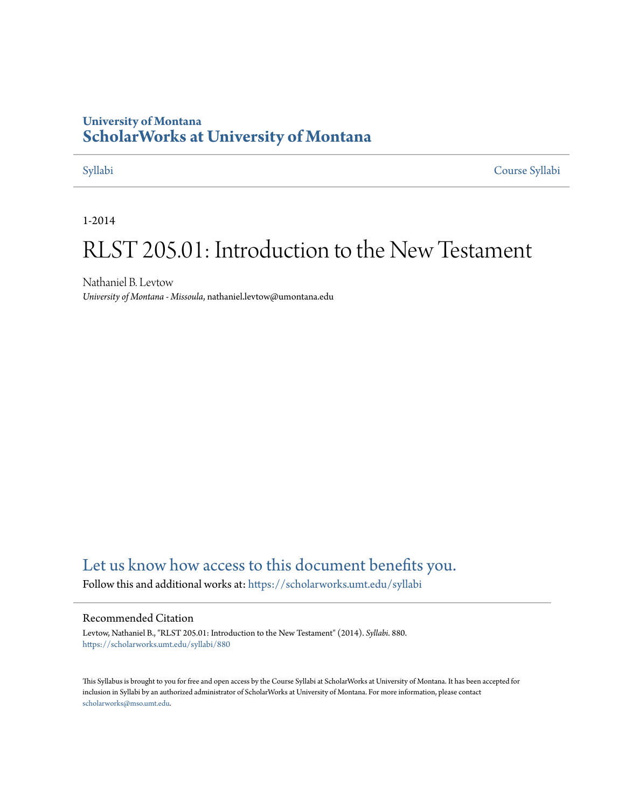### **University of Montana [ScholarWorks at University of Montana](https://scholarworks.umt.edu?utm_source=scholarworks.umt.edu%2Fsyllabi%2F880&utm_medium=PDF&utm_campaign=PDFCoverPages)**

[Syllabi](https://scholarworks.umt.edu/syllabi?utm_source=scholarworks.umt.edu%2Fsyllabi%2F880&utm_medium=PDF&utm_campaign=PDFCoverPages) [Course Syllabi](https://scholarworks.umt.edu/course_syllabi?utm_source=scholarworks.umt.edu%2Fsyllabi%2F880&utm_medium=PDF&utm_campaign=PDFCoverPages)

1-2014

# RLST 205.01: Introduction to the New Testament

Nathaniel B. Levtow *University of Montana - Missoula*, nathaniel.levtow@umontana.edu

## [Let us know how access to this document benefits you.](https://goo.gl/forms/s2rGfXOLzz71qgsB2)

Follow this and additional works at: [https://scholarworks.umt.edu/syllabi](https://scholarworks.umt.edu/syllabi?utm_source=scholarworks.umt.edu%2Fsyllabi%2F880&utm_medium=PDF&utm_campaign=PDFCoverPages)

#### Recommended Citation

Levtow, Nathaniel B., "RLST 205.01: Introduction to the New Testament" (2014). *Syllabi*. 880. [https://scholarworks.umt.edu/syllabi/880](https://scholarworks.umt.edu/syllabi/880?utm_source=scholarworks.umt.edu%2Fsyllabi%2F880&utm_medium=PDF&utm_campaign=PDFCoverPages)

This Syllabus is brought to you for free and open access by the Course Syllabi at ScholarWorks at University of Montana. It has been accepted for inclusion in Syllabi by an authorized administrator of ScholarWorks at University of Montana. For more information, please contact [scholarworks@mso.umt.edu](mailto:scholarworks@mso.umt.edu).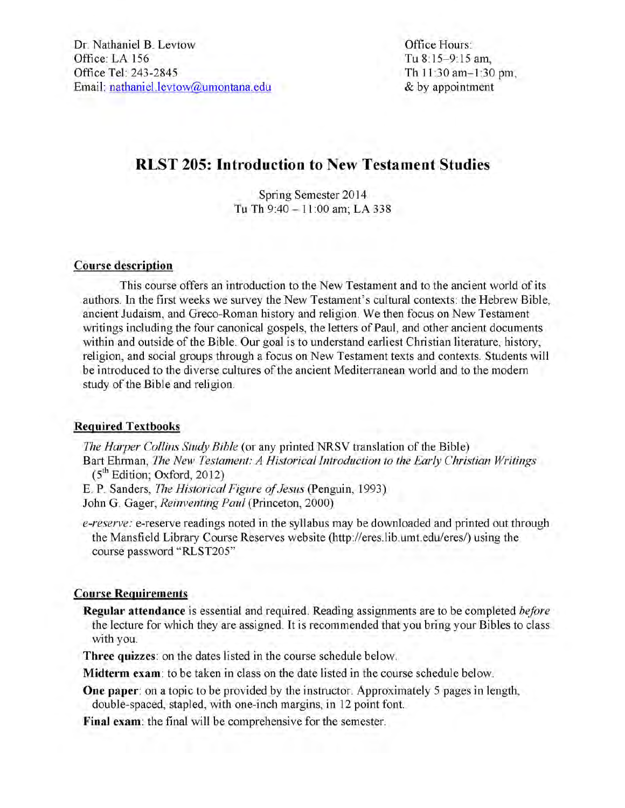Office Hours: Tu 8:15-9:15 am, Th 11:30 am-1:30 pm, & by appointment

## **RLST 205: Introduction to New Testament Studies**

Spring Semester 2014 Tu Th 9:40 - 11:00 am; LA 338

### **Course description**

This course offers an introduction to the New Testament and to the ancient world of its authors. In the first weeks we survey the New Testament's cultural contexts: the Hebrew Bible, ancient Judaism, and Greco-Roman history and religion. We then focus on New Testament writings including the four canonical gospels, the letters of Paul, and other ancient documents within and outside of the Bible. Our goal is to understand earliest Christian literature, history, religion, and social groups through a focus on New Testament texts and contexts. Students will be introduced to the diverse cultures of the ancient Mediterranean world and to the modem study of the Bible and religion.

### **Required Textbooks**

*The Harper Collins Study Bible* (or any printed NRSV translation of the Bible) Bart Ehrman, *The New Testament: A Historical Introduction to the Early Christian Writings*  $(5<sup>th</sup> Edition; Oxford, 2012)$ 

E. P. Sanders, *The Historical Figure of Jesus* (Penguin, 1993)

John G. Gager, *Reinventing Paid* (Princeton, 2000)

*e-reserve:* e-reserve readings noted in the syllabus may be downloaded and printed out through the Mansfield Library Course Reserves website (http://eres.lib.umt.edu/eres/) using the course password "RLST205"

### **Course Requirements**

**Regular attendance** is essential and required. Reading assignments are to be completed *before* the lecture for which they are assigned. It is recommended that you bring your Bibles to class with you.

**Three quizzes:** on the dates listed in the course schedule below.

**Midterm exam:** to be taken in class on the date listed in the course schedule below.

**One paper:** on a topic to be provided by the instructor. Approximately 5 pages in length, double-spaced, stapled, with one-inch margins, in 12 point font.

**Final exam:** the final will be comprehensive for the semester.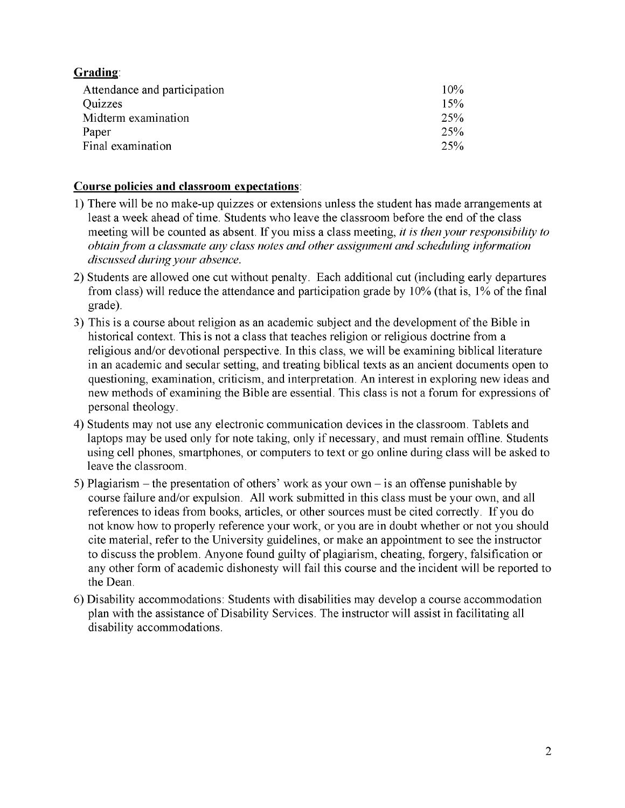### **Grading:**

| Attendance and participation | 10% |
|------------------------------|-----|
| <b>Quizzes</b>               | 15% |
| Midterm examination          | 25% |
| Paper                        | 25% |
| Final examination            | 25% |

### **Course policies and classroom expectations:**

- 1) There will be no make-up quizzes or extensions unless the student has made arrangements at least a week ahead of time. Students who leave the classroom before the end of the class meeting will be counted as absent. If you miss a class meeting, *it is then your responsibility to obtain from a classmate any class notes and other assignment and scheduling information discussed during your absence.*
- 2) Students are allowed one cut without penalty. Each additional cut (including early departures from class) will reduce the attendance and participation grade by 10% (that is, 1% of the final grade).
- 3) This is a course about religion as an academic subject and the development of the Bible in historical context. This is not a class that teaches religion or religious doctrine from a religious and/or devotional perspective. In this class, we will be examining biblical literature in an academic and secular setting, and treating biblical texts as an ancient documents open to questioning, examination, criticism, and interpretation. An interest in exploring new ideas and new methods of examining the Bible are essential. This class is not a forum for expressions of personal theology.
- 4) Students may not use any electronic communication devices in the classroom. Tablets and laptops may be used only for note taking, only if necessary, and must remain offline. Students using cell phones, smartphones, or computers to text or go online during class will be asked to leave the classroom.
- 5) Plagiarism the presentation of others' work as your own is an offense punishable by course failure and/or expulsion. All work submitted in this class must be your own, and all references to ideas from books, articles, or other sources must be cited correctly. If you do not know how to properly reference your work, or you are in doubt whether or not you should cite material, refer to the University guidelines, or make an appointment to see the instructor to discuss the problem. Anyone found guilty of plagiarism, cheating, forgery, falsification or any other form of academic dishonesty will fail this course and the incident will be reported to the Dean.
- 6) Disability accommodations: Students with disabilities may develop a course accommodation plan with the assistance of Disability Services. The instructor will assist in facilitating all disability accommodations.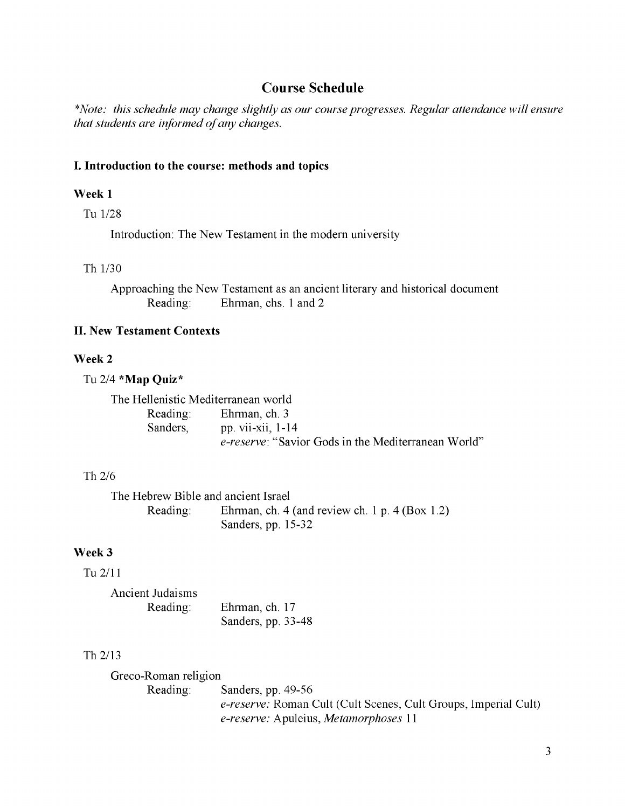### **Course Schedule**

*\*Note: this schedule may change slightly as our course progresses. Regular attendance will ensure that students are informed of any changes.* 

### **I. Introduction to the course: methods and topics**

### **Week 1**

Tu 1/28

Introduction: The New Testament in the modern university

#### Th 1/30

Approaching the New Testament as an ancient literary and historical document Reading: Ehrman, chs. 1 and 2

### **II. New Testament Contexts**

#### **Week 2**

Tu 2/4 **\*Map Quiz\***

The Hellenistic Mediterranean world Reading: Ehrman, ch. 3 Sanders, pp. vii-xii, 1-14 *e-re serve:* "Savior Gods in the Mediterranean World"

### Th 2/6

The Hebrew Bible and ancient Israel Reading: Ehrman, ch. 4 (and review ch. 1 p. 4 (Box 1.2) Sanders, pp. 15-32

### **Week 3**

### Tu 2/11

| Ancient Judaisms |                    |
|------------------|--------------------|
| Reading:         | Ehrman, ch. 17     |
|                  | Sanders, pp. 33-48 |

### Th 2/13

Greco-Roman religion Reading: Sanders, pp. 49-56 *e-reserve:* Roman Cult (Cult Scenes, Cult Groups, Imperial Cult) *e-reserve:* Apuleius, *Metamorphoses* 11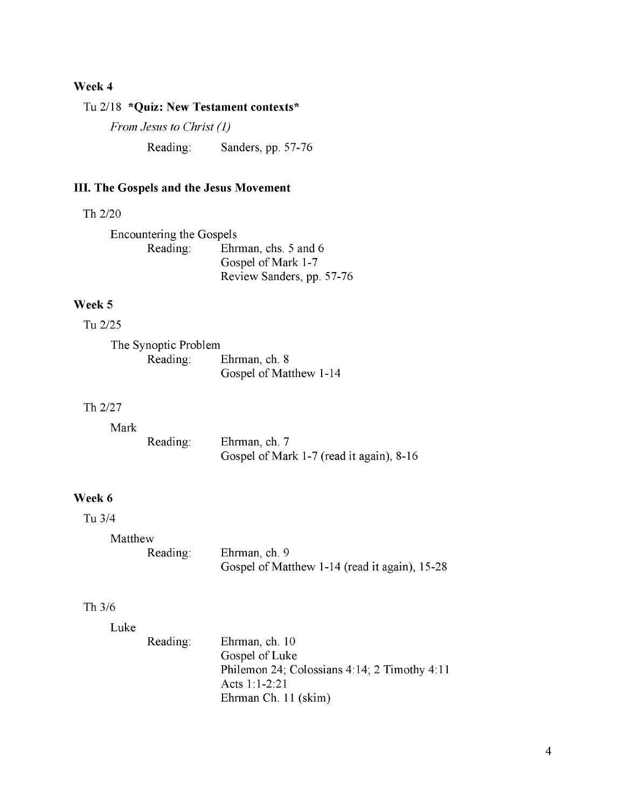### **Week 4**

### Tu 2/18 **\*Quiz: New Testament contexts\***

*From Jesus to Christ (1)*

Reading: Sanders, pp. 57-76

### **III. The Gospels and the Jesus Movement**

### Th 2/20

Encountering the Gospels<br>Reading: Ehr Ehrman, chs. 5 and 6 Gospel of Mark 1-7 Review Sanders, pp. 57-76

### **Week 5**

Tu 2/25

| The Synoptic Problem |                        |
|----------------------|------------------------|
| Reading:             | Ehrman, ch. 8          |
|                      | Gospel of Matthew 1-14 |

### Th 2/27

| Mark |          |                                                           |
|------|----------|-----------------------------------------------------------|
|      | Reading: | Ehrman, ch. 7<br>Gospel of Mark 1-7 (read it again), 8-16 |

### **Week 6**

### Tu 3/4

#### Matthew

| Reading: | Ehrman, ch. 9                                 |
|----------|-----------------------------------------------|
|          | Gospel of Matthew 1-14 (read it again), 15-28 |

### Th 3/6

| Reading: | Ehrman, ch. 10                               |
|----------|----------------------------------------------|
|          | Gospel of Luke                               |
|          | Philemon 24; Colossians 4:14; 2 Timothy 4:11 |
|          | Acts $1:1-2:21$                              |
|          | Ehrman Ch. 11 (skim)                         |
|          |                                              |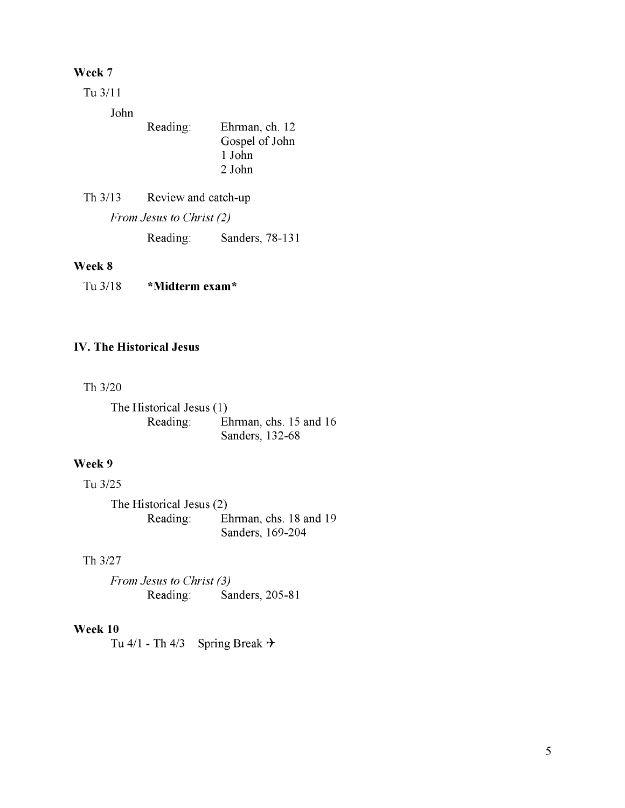### **Week 7**

Tu 3/11

John

| Reading: | Ehrman, ch. 12<br>Gospel of John |
|----------|----------------------------------|
|          | 1 John                           |
|          | 2 John                           |

Th 3/13 Review and catch-up *From Jesus to Christ (2)* Reading: Sanders, 78-131

### **Week 8**

Tu3/18 \* **Midterm exam\***

### **IV. The Historical Jesus**

Th 3/20

The Historical Jesus (1) Reading: Ehrman, chs. 15 and 16 Sanders, 132-68

### **Week 9**

Tu 3/25

The Historical Jesus (2) Reading: Ehrman, chs. 18 and 19 Sanders, 169-204

### Th 3/27

*From Jesus to Christ (3)* Reading: Sanders, 205-81

### **Week 10**

Tu  $4/1$  - Th  $4/3$  Spring Break  $\rightarrow$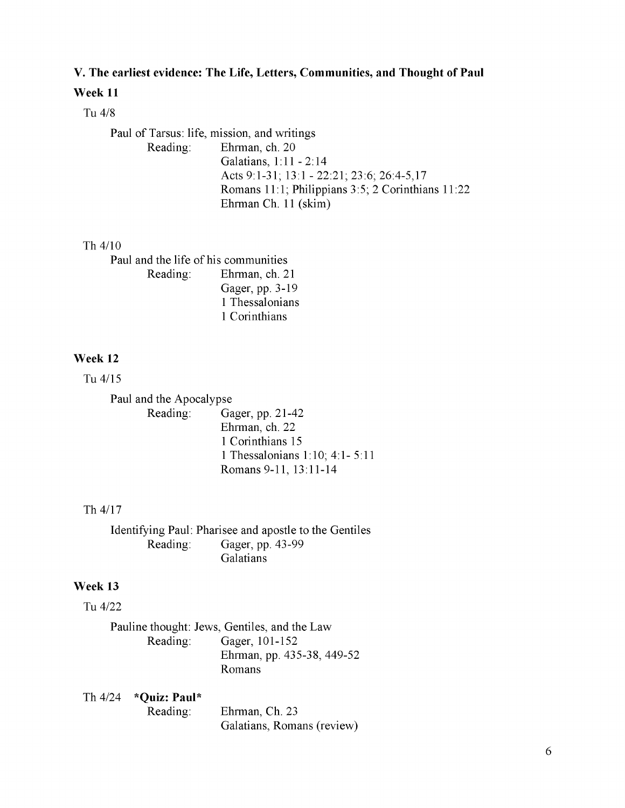### **V. The earliest evidence: The Life, Letters, Communities, and Thought of Paul**

### **Week 11**

### Tu 4/8

Paul of Tarsus: life, mission, and writings Reading: Ehrman, ch. 20 Galatians, 1:11 - 2:14 Acts 9:1-31; 13:1 - 22:21; 23:6; 26:4-5,17 Romans 11:1; Philippians 3:5; 2 Corinthians 11:22 Ehrman Ch. 11 (skim)

### Th 4/10

Paul and the life of his communities Reading: Ehrman, ch. 21 Gager, pp. 3-19 1 Thessalonians 1 Corinthians

### **Week 12**

Tu 4/15

Paul and the Apocalypse Reading: Gager, pp. 21-42 Ehrman, ch. 22 1 Corinthians 15 1 Thessalonians 1:10; 4:1- 5:11 Romans 9-11, 13:11-14

#### Th 4/17

Identifying Paul: Pharisee and apostle to the Gentiles Reading: Gager, pp. 43-99 **Galatians** 

### **Week 13**

Tu 4/22

Pauline thought: Jews, Gentiles, and the Law Reading: Gager, 101-152 Ehrman, pp. 435-38, 449-52 Romans

Th 4/24 **\*Quiz: Paul\*** Reading: Ehrman, Ch. 23 Galatians, Romans (review)